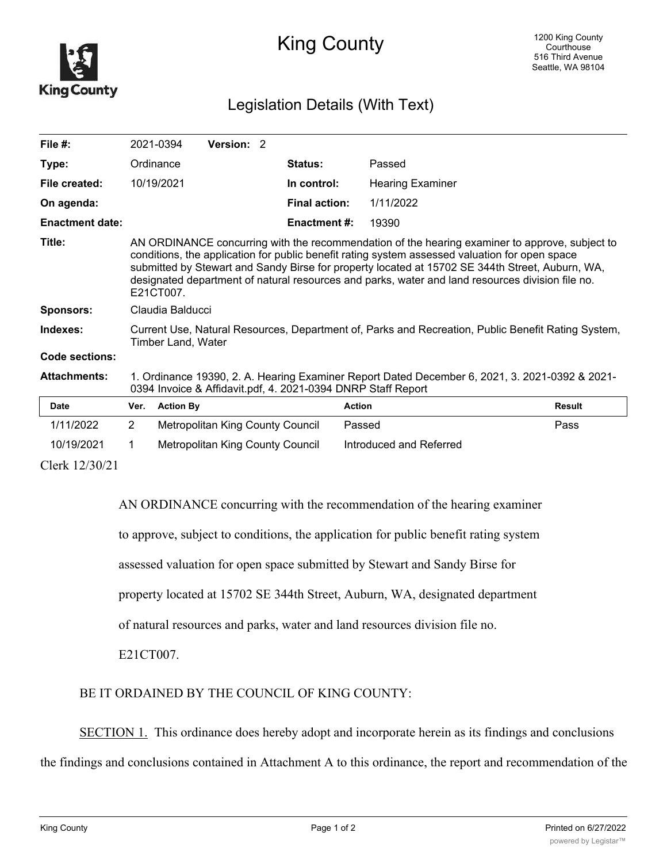

## King County

## Legislation Details (With Text)

| File $#$ :             |                                                                                                                                                                                                                                                                                                                                                                                                                     | 2021-0394        | Version: 2                       |  |                      |                         |               |
|------------------------|---------------------------------------------------------------------------------------------------------------------------------------------------------------------------------------------------------------------------------------------------------------------------------------------------------------------------------------------------------------------------------------------------------------------|------------------|----------------------------------|--|----------------------|-------------------------|---------------|
| Type:                  |                                                                                                                                                                                                                                                                                                                                                                                                                     | Ordinance        |                                  |  | Status:              | Passed                  |               |
| File created:          |                                                                                                                                                                                                                                                                                                                                                                                                                     | 10/19/2021       |                                  |  | In control:          | <b>Hearing Examiner</b> |               |
| On agenda:             |                                                                                                                                                                                                                                                                                                                                                                                                                     |                  |                                  |  | <b>Final action:</b> | 1/11/2022               |               |
| <b>Enactment date:</b> |                                                                                                                                                                                                                                                                                                                                                                                                                     |                  |                                  |  | Enactment #:         | 19390                   |               |
| Title:                 | AN ORDINANCE concurring with the recommendation of the hearing examiner to approve, subject to<br>conditions, the application for public benefit rating system assessed valuation for open space<br>submitted by Stewart and Sandy Birse for property located at 15702 SE 344th Street, Auburn, WA,<br>designated department of natural resources and parks, water and land resources division file no.<br>E21CT007 |                  |                                  |  |                      |                         |               |
| <b>Sponsors:</b>       | Claudia Balducci                                                                                                                                                                                                                                                                                                                                                                                                    |                  |                                  |  |                      |                         |               |
| Indexes:               | Current Use, Natural Resources, Department of, Parks and Recreation, Public Benefit Rating System,<br>Timber Land, Water                                                                                                                                                                                                                                                                                            |                  |                                  |  |                      |                         |               |
| Code sections:         |                                                                                                                                                                                                                                                                                                                                                                                                                     |                  |                                  |  |                      |                         |               |
| <b>Attachments:</b>    | 1. Ordinance 19390, 2. A. Hearing Examiner Report Dated December 6, 2021, 3. 2021-0392 & 2021-<br>0394 Invoice & Affidavit.pdf, 4. 2021-0394 DNRP Staff Report                                                                                                                                                                                                                                                      |                  |                                  |  |                      |                         |               |
| Date                   | Ver.                                                                                                                                                                                                                                                                                                                                                                                                                | <b>Action By</b> |                                  |  |                      | <b>Action</b>           | <b>Result</b> |
| 1/11/2022              | $\overline{2}$                                                                                                                                                                                                                                                                                                                                                                                                      |                  | Metropolitan King County Council |  |                      | Passed                  | Pass          |
| 10/19/2021             | 1                                                                                                                                                                                                                                                                                                                                                                                                                   |                  | Metropolitan King County Council |  |                      | Introduced and Referred |               |
| Clerk 12/30/21         |                                                                                                                                                                                                                                                                                                                                                                                                                     |                  |                                  |  |                      |                         |               |

AN ORDINANCE concurring with the recommendation of the hearing examiner

to approve, subject to conditions, the application for public benefit rating system

assessed valuation for open space submitted by Stewart and Sandy Birse for

property located at 15702 SE 344th Street, Auburn, WA, designated department

of natural resources and parks, water and land resources division file no.

E21CT007.

BE IT ORDAINED BY THE COUNCIL OF KING COUNTY:

SECTION 1. This ordinance does hereby adopt and incorporate herein as its findings and conclusions

the findings and conclusions contained in Attachment A to this ordinance, the report and recommendation of the